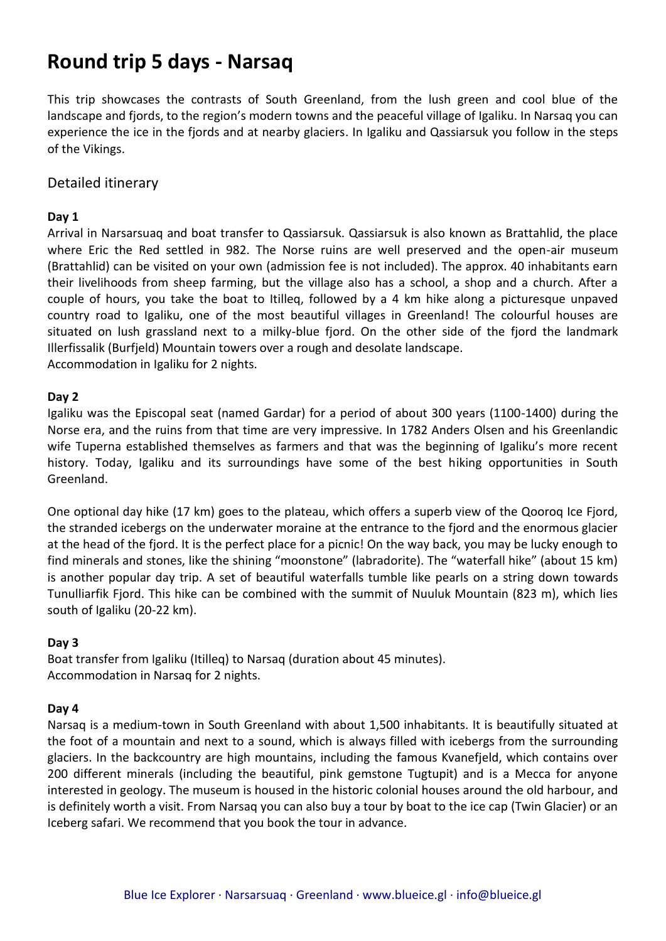# **Round trip 5 days - Narsaq**

This trip showcases the contrasts of South Greenland, from the lush green and cool blue of the landscape and fjords, to the region's modern towns and the peaceful village of Igaliku. In Narsaq you can experience the ice in the fjords and at nearby glaciers. In Igaliku and Qassiarsuk you follow in the steps of the Vikings.

## Detailed itinerary

### **Day 1**

Arrival in Narsarsuaq and boat transfer to Qassiarsuk. Qassiarsuk is also known as Brattahlid, the place where Eric the Red settled in 982. The Norse ruins are well preserved and the open-air museum (Brattahlid) can be visited on your own (admission fee is not included). The approx. 40 inhabitants earn their livelihoods from sheep farming, but the village also has a school, a shop and a church. After a couple of hours, you take the boat to Itilleq, followed by a 4 km hike along a picturesque unpaved country road to Igaliku, one of the most beautiful villages in Greenland! The colourful houses are situated on lush grassland next to a milky-blue fjord. On the other side of the fjord the landmark Illerfissalik (Burfjeld) Mountain towers over a rough and desolate landscape. Accommodation in Igaliku for 2 nights.

### **Day 2**

Igaliku was the Episcopal seat (named Gardar) for a period of about 300 years (1100-1400) during the Norse era, and the ruins from that time are very impressive. In 1782 Anders Olsen and his Greenlandic wife Tuperna established themselves as farmers and that was the beginning of Igaliku's more recent history. Today, Igaliku and its surroundings have some of the best hiking opportunities in South Greenland.

One optional day hike (17 km) goes to the plateau, which offers a superb view of the Qooroq Ice Fjord, the stranded icebergs on the underwater moraine at the entrance to the fjord and the enormous glacier at the head of the fjord. It is the perfect place for a picnic! On the way back, you may be lucky enough to find minerals and stones, like the shining "moonstone" (labradorite). The "waterfall hike" (about 15 km) is another popular day trip. A set of beautiful waterfalls tumble like pearls on a string down towards Tunulliarfik Fjord. This hike can be combined with the summit of Nuuluk Mountain (823 m), which lies south of Igaliku (20-22 km).

### **Day 3**

Boat transfer from Igaliku (Itilleq) to Narsaq (duration about 45 minutes). Accommodation in Narsaq for 2 nights.

#### **Day 4**

Narsaq is a medium-town in South Greenland with about 1,500 inhabitants. It is beautifully situated at the foot of a mountain and next to a sound, which is always filled with icebergs from the surrounding glaciers. In the backcountry are high mountains, including the famous Kvanefjeld, which contains over 200 different minerals (including the beautiful, pink gemstone Tugtupit) and is a Mecca for anyone interested in geology. The museum is housed in the historic colonial houses around the old harbour, and is definitely worth a visit. From Narsaq you can also buy a tour by boat to the ice cap (Twin Glacier) or an Iceberg safari. We recommend that you book the tour in advance.